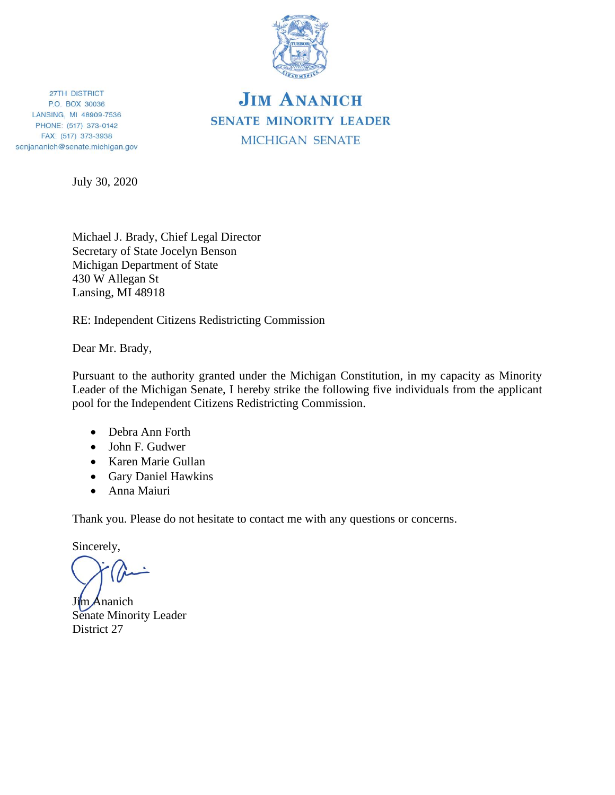

## **JIM ANANICH SENATE MINORITY LEADER MICHIGAN SENATE**

27TH DISTRICT P.O. BOX 30036 LANSING, MI 48909-7536 PHONE: (517) 373-0142 FAX: (517) 373-3938 senjananich@senate.michigan.gov

July 30, 2020

Michael J. Brady, Chief Legal Director Secretary of State Jocelyn Benson Michigan Department of State 430 W Allegan St Lansing, MI 48918

RE: Independent Citizens Redistricting Commission

Dear Mr. Brady,

Pursuant to the authority granted under the Michigan Constitution, in my capacity as Minority Leader of the Michigan Senate, I hereby strike the following five individuals from the applicant pool for the Independent Citizens Redistricting Commission.

- Debra Ann Forth
- John F. Gudwer
- Karen Marie Gullan
- Gary Daniel Hawkins
- Anna Maiuri

Thank you. Please do not hesitate to contact me with any questions or concerns.

Sincerely,

Jim Ananich Senate Minority Leader District 27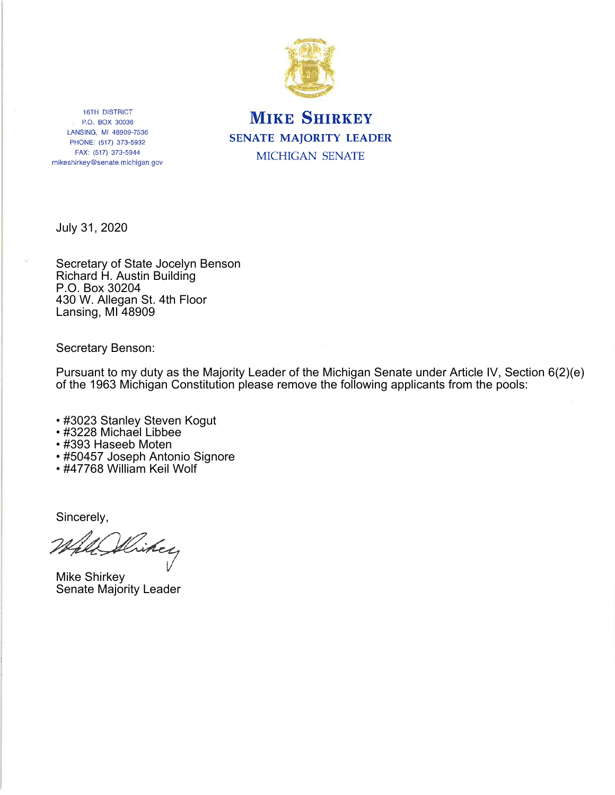

## **MIKE SHIRKEY SENATE MAJORITY LEADER** MICHIGAN SENATE

**16TH DISTRICT** P.O. BOX 30036 LANSING, MI 48909-7536 PHONE: (517) 373-5932 FAX: (517) 373-5944 mikeshirkey@senate.michigan.gov

July 31, 2020

Secretary of State Jocelyn Benson Richard H. Austin Building P.O. Box 30204 430 W. Allegan St. 4th Floor Lansing, MI 48909

**Secretary Benson:** 

Pursuant to my duty as the Majority Leader of the Michigan Senate under Article IV, Section 6(2)(e) of the 1963 Michigan Constitution please remove the following applicants from the pools:

- #3023 Stanley Steven Kogut
- #3228 Michael Libbee
- #393 Haseeb Moten
- #50457 Joseph Antonio Signore
- #47768 William Keil Wolf

Sincerely,

Hikey

**Mike Shirkey** Senate Majority Leader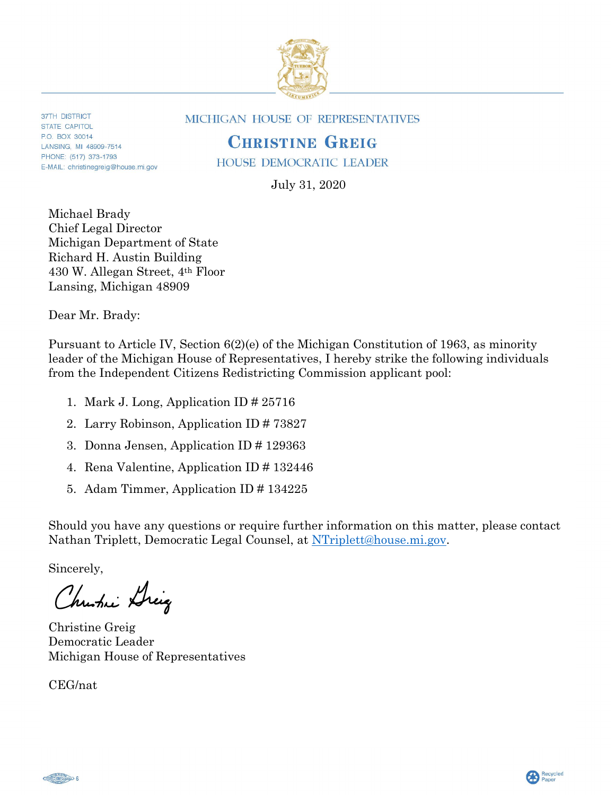

**37TH DISTRICT** STATE CAPITOL PO BOX 30014 LANSING, MI 48909-7514 PHONE: (517) 373-1793 E-MAIL: christinegreig@house.mi.gov **MICHIGAN HOUSE OF REPRESENTATIVES** 

## **CHRISTINE GREIG**

**HOUSE DEMOCRATIC LEADER** 

July 31, 2020

Michael Brady Chief Legal Director Michigan Department of State Richard H. Austin Building 430 W. Allegan Street, 4th Floor Lansing, Michigan 48909

Dear Mr. Brady:

Pursuant to Article IV, Section 6(2)(e) of the Michigan Constitution of 1963, as minority leader of the Michigan House of Representatives, I hereby strike the following individuals from the Independent Citizens Redistricting Commission applicant pool:

- 1. Mark J. Long, Application ID # 25716
- 2. Larry Robinson, Application ID # 73827
- 3. Donna Jensen, Application ID # 129363
- 4. Rena Valentine, Application ID # 132446
- 5. Adam Timmer, Application ID # 134225

Should you have any questions or require further information on this matter, please contact Nathan Triplett, Democratic Legal Counsel, at NTriplett@house.mi.gov.

Sincerely,

Christie Dreig

Christine Greig Democratic Leader Michigan House of Representatives

CEG/nat